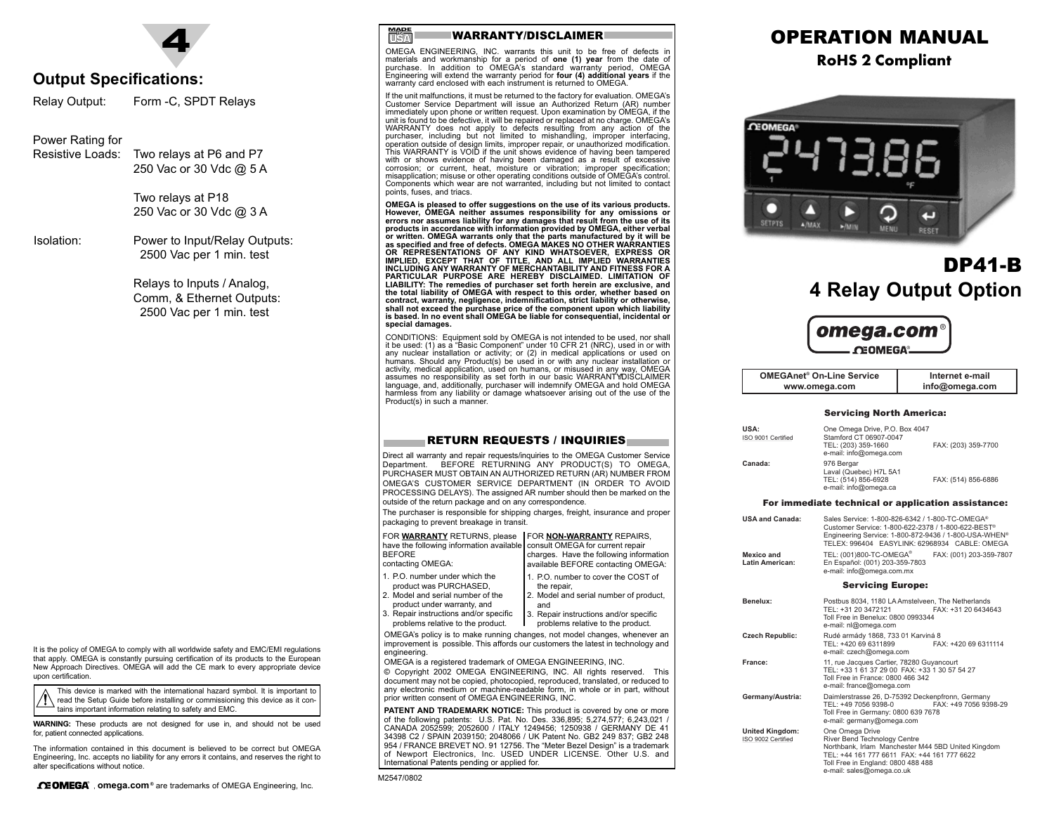

#### **Output Specifications:**

Relay Output: Form -C, SPDT Relays

#### Power Rating for

Resistive Loads: Two relays at P6 and P7

250 Vac or 30 Vdc @ 5 A

Two relays at P18 250 Vac or 30 Vdc @ 3 A

Isolation: Power to Input/Relay Outputs: 2500 Vac per 1 min. test

> Relays to Inputs / Analog, Comm, & Ethernet Outputs: 2500 Vac per 1 min. test

It is the policy of OMEGA to comply with all worldwide safety and EMC/EMI regulations that apply. OMEGA is constantly pursuing certification of its products to the European New Approach Directives. OMEGA will add the CE mark to every appropriate device upon certification.

This device is marked with the international hazard symbol. It is important to read the Setup Guide before installing or commissioning this device as it contains important information relating to safety and EMC.

**WARNING:** These products are not designed for use in, and should not be used for, patient connected applications.

The information contained in this document is believed to be correct but OMEGA Engineering, Inc. accepts no liability for any errors it contains, and reserves the right to alter specifications without notice.



**USA IN**

OMEGA ENGINEERING, INC. warrants this unit to be free of defects in materials and workmanship for a period of **one (1) year** from the date of purchase. In addition to OMEGA's standard warranty period, OMEGA Engineering will extend the warranty period for **four (4) additional years** if the warranty card enclosed with each instrument is returned to OMEGA.

If the unit malfunctions, it must be returned to the factory for evaluation. OMEGA's Customer Service Department will issue an Authorized Return (AR) number immediately upon phone or written request. Upon examination by OMEGA, if the unit is found to be defective, it will be repaired or replaced at no charge. OMEGA's WARRANTY does not apply to defects resulting from any action of the purchaser, including but not limited to mishandling, improper interfacing, operation outside of design limits, improper repair, or unauthorized modification. This WARRANTY is VOID if the unit shows evidence of having been tampered with or shows evidence of having been damaged as a result of excessive corrosion; or current, heat, moisture or vibration; improper specification; misapplication; misuse or other operating conditions outside of OMEGA's control. Components which wear are not warranted, including but not limited to contact points, fuses, and triacs.

**OMEGA is pleased to offer suggestions on the use of its various products. However, OMEGA neither assumes responsibility for any omissions or errors nor assumes liability for any damages that result from the use of its products in accordance with information provided by OMEGA, either verbal or written. OMEGA warrants only that the parts manufactured by it will be as specified and free of defects. OMEGA MAKES NO OTHER WARRANTIES** OR REPRESENTATIONS OF ANY KIND WHATSOEVER, EXPRESS OR<br>IMPLIED, EXCEPT THAT OF TITLE, AND ALL IMPLIED WARRANTIES<br>INCLUDING ANYWARRANTY OF MERCHANTABILITYAND FITNESS FOR A **PARTICULAR PURPOSE ARE HEREBY DISCLAIMED. LIMITATION OF LIABILITY: The remedies of purchaser set forth herein are exclusive, and the total liability of OMEGA with respect to this order, whether based on contract, warranty, negligence, indemnification, strict liability or otherwise, shall not exceed the purchase price of the component upon which liability is based. In no event shall OMEGA be liable for consequential, incidental or special damages.**

CONDITIONS: Equipment sold by OMEGA is not intended to be used, nor shall<br>it be used: (1) as a "Basic Component" under 10 CFR 21 (NRC), used in or with<br>any nuclear installation or activity; or (2) in medical applications o activity, medical application, used on humans, or misused in any way, OMEGA assumes no responsibility as set forth in our basic WARRANTY/DISCLAIMER language, and, additionally, purchaser will indemnify OMEGA and hold OMEGA harmless from any liability or damage whatsoever arising out of the use of the Product(s) in such a manner.

#### RETURN REQUESTS / INQUIRIES

Direct all warranty and repair requests/inquiries to the OMEGA Customer Service Department. BEFORE RETURNING ANY PRODUCT(S) TO OMEGA, PURCHASER MUST OBTAIN AN AUTHORIZED RETURN (AR) NUMBER FROM OMEGA'S CUSTOMER SERVICE DEPARTMENT (IN ORDER TO AVOID PROCESSING DELAYS). The assigned AR number should then be marked on the outside of the return package and on any correspondence.

The purchaser is responsible for shipping charges, freight, insurance and proper packaging to prevent breakage in transit.

FOR **WARRANTY** RETURNS, please FOR **NON-WARRANTY** REPAIRS, have the following information available consult OMEGA for current repair

1. P.O. number to cover the COST of

BEFORE contacting OMEGA: charges. Have the following information available BEFORE contacting OMEGA:

- 1. P.O. number under which theproduct was PURCHASED,
- 2. Model and serial number of the
- product under warranty, and 3. Repair instructions and/or specific 2. Model and serial number of product, and
- problems relative to the product. 3. Repair instructions and/or specific problems relative to the product.

OMEGA's policy is to make running changes, not model changes, whenever an improvement is possible. This affords our customers the latest in technology and engineering.

the repair,

OMEGA is a registered trademark of OMEGA ENGINEERING, INC. © Copyright 2002 OMEGA ENGINEERING, INC. All rights reserved. This document may not be copied, photocopied, reproduced, translated, or reduced to any electronic medium or machine-readable form, in whole or in part, without

prior written consent of OMEGA ENGINEERING, INC. **PATENT AND TRADEMARK NOTICE:** This product is covered by one or more

of the following patents: U.S. Pat. No. Des. 336,895; 5,274,577; 6,243,021 / CANADA 2052599; 2052600 / ITALY 1249456; 1250938 / GERMANY DE 41 34398 C2 / SPAIN 2039150; 2048066 / UK Patent No. GB2 249 837; GB2 248 954 / FRANCE BREVET NO. 91 12756. The "Meter Bezel Design" is a trademark of Newport Electronics, Inc. USED UNDER LICENSE. Other U.S. and International Patents pending or applied for.

# OPERATION MANUAL

**RoHS 2 Compliant**



# DP41-B**4 Relay Output Option**



| <b>OMEGAnet<sup>®</sup> On-Line Service</b> | Internet e-mail |
|---------------------------------------------|-----------------|
| www.omega.com                               | info@omega.com  |

#### Servicing North America:

| USA:<br>ISO 9001 Certified | One Omega Drive, P.O. Box 4047<br>Stamford CT 06907-0047<br>TEL: (203) 359-1660<br>e-mail: info@omega.com | FAX: (203) 359-7700 |
|----------------------------|-----------------------------------------------------------------------------------------------------------|---------------------|
| Canada:                    | 976 Bergar<br>Laval (Quebec) H7L 5A1<br>TEL: (514) 856-6928<br>e-mail: info@omega.ca                      | FAX: (514) 856-6886 |

#### For immediate technical or application assistance:

| USA and Canada:<br>Mexico and<br><b>Latin American:</b> | Sales Service: 1-800-826-6342 / 1-800-TC-OMEGA®<br>Customer Service: 1-800-622-2378 / 1-800-622-BEST®<br>Engineering Service: 1-800-872-9436 / 1-800-USA-WHEN <sup>®</sup><br>TELEX: 996404 EASYLINK: 62968934 CABLE: OMEGA<br>TEL: (001)800-TC-OMEGA <sup>®</sup><br>FAX: (001) 203-359-7807<br>En Español: (001) 203-359-7803<br>e-mail: info@omega.com.mx |
|---------------------------------------------------------|--------------------------------------------------------------------------------------------------------------------------------------------------------------------------------------------------------------------------------------------------------------------------------------------------------------------------------------------------------------|
|                                                         | <b>Servicing Europe:</b>                                                                                                                                                                                                                                                                                                                                     |
| Benelux <sup>.</sup>                                    | Postbus 8034, 1180 LA Amstelveen. The Netherlands<br>TEL: +31 20 3472121<br>FAX: +31 20 6434643<br>Toll Free in Benelux: 0800 0993344<br>e-mail: nl@omega.com                                                                                                                                                                                                |
| <b>Czech Republic:</b>                                  | Rudé armády 1868, 733 01 Karviná 8<br>TEL: +420 69 6311899<br>FAX: +420 69 6311114<br>e-mail: czech@omega.com                                                                                                                                                                                                                                                |
| France:                                                 | 11, rue Jacques Cartier, 78280 Guyancourt<br>TEL: +33 1 61 37 29 00 FAX: +33 1 30 57 54 27<br>Toll Free in France: 0800 466 342<br>e-mail: france@omega.com                                                                                                                                                                                                  |
| Germany/Austria:                                        | Daimlerstrasse 26, D-75392 Deckenpfronn, Germany<br>FAX: +49 7056 9398-29<br>TFL: +49 7056 9398-0<br>Toll Free in Germany: 0800 639 7678<br>e-mail: germany@omega.com                                                                                                                                                                                        |
| <b>United Kingdom:</b><br>ISO 9002 Certified            | One Omega Drive<br>River Bend Technology Centre<br>Northbank, Irlam Manchester M44 5BD United Kingdom<br>TEL: +44 161 777 6611 FAX: +44 161 777 6622<br>Toll Free in England: 0800 488 488<br>e-mail: sales@omega.co.uk                                                                                                                                      |